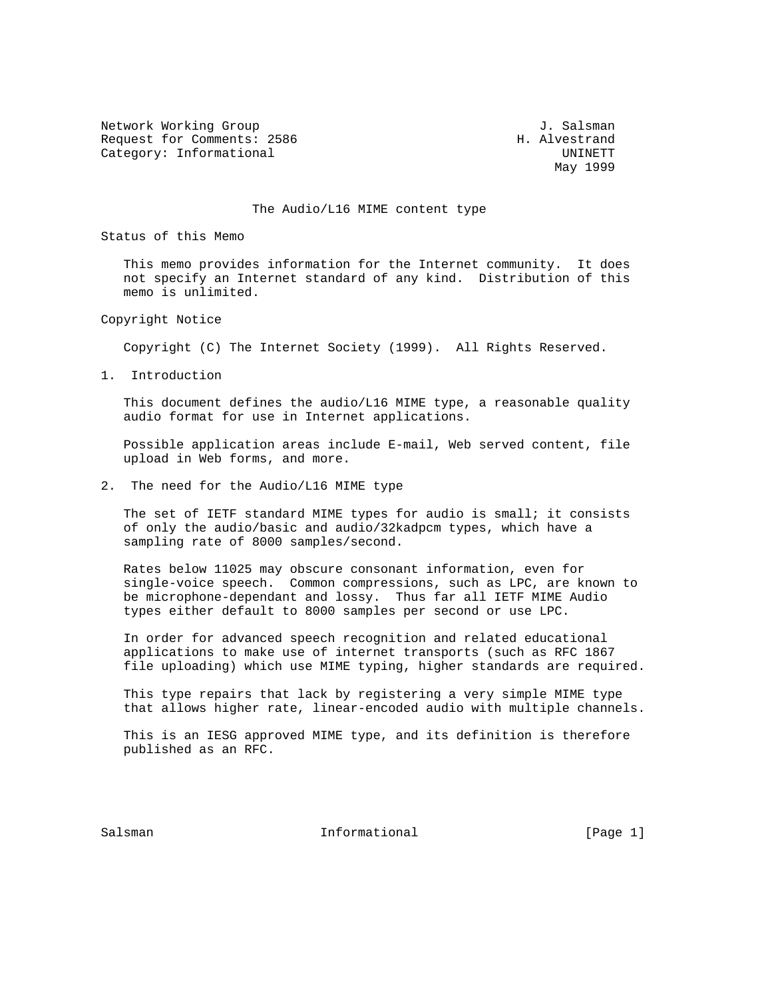Network Working Group<br>Request for Comments: 2586  $\qquad$  H. Alvestrand Request for Comments: 2586 Category: Informational UNINETT

May 1999

## The Audio/L16 MIME content type

Status of this Memo

 This memo provides information for the Internet community. It does not specify an Internet standard of any kind. Distribution of this memo is unlimited.

Copyright Notice

Copyright (C) The Internet Society (1999). All Rights Reserved.

1. Introduction

 This document defines the audio/L16 MIME type, a reasonable quality audio format for use in Internet applications.

 Possible application areas include E-mail, Web served content, file upload in Web forms, and more.

2. The need for the Audio/L16 MIME type

 The set of IETF standard MIME types for audio is small; it consists of only the audio/basic and audio/32kadpcm types, which have a sampling rate of 8000 samples/second.

 Rates below 11025 may obscure consonant information, even for single-voice speech. Common compressions, such as LPC, are known to be microphone-dependant and lossy. Thus far all IETF MIME Audio types either default to 8000 samples per second or use LPC.

 In order for advanced speech recognition and related educational applications to make use of internet transports (such as RFC 1867 file uploading) which use MIME typing, higher standards are required.

 This type repairs that lack by registering a very simple MIME type that allows higher rate, linear-encoded audio with multiple channels.

 This is an IESG approved MIME type, and its definition is therefore published as an RFC.

Salsman Informational [Page 1]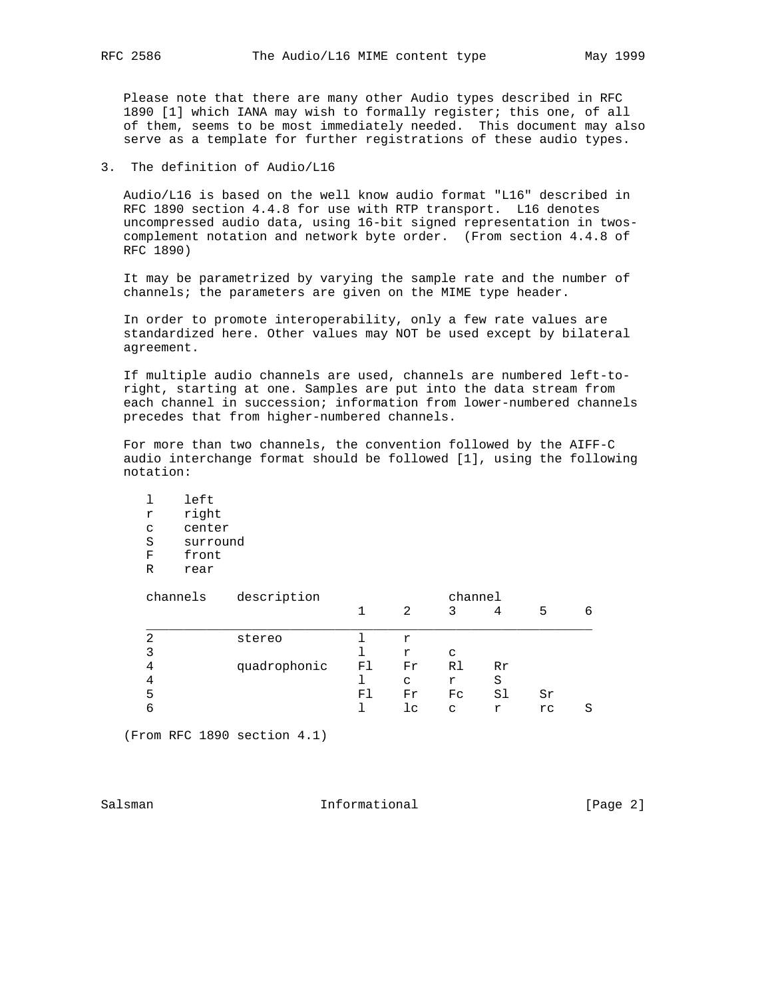Please note that there are many other Audio types described in RFC 1890 [1] which IANA may wish to formally register; this one, of all of them, seems to be most immediately needed. This document may also serve as a template for further registrations of these audio types.

3. The definition of Audio/L16

 Audio/L16 is based on the well know audio format "L16" described in RFC 1890 section 4.4.8 for use with RTP transport. L16 denotes uncompressed audio data, using 16-bit signed representation in twos complement notation and network byte order. (From section 4.4.8 of RFC 1890)

 It may be parametrized by varying the sample rate and the number of channels; the parameters are given on the MIME type header.

 In order to promote interoperability, only a few rate values are standardized here. Other values may NOT be used except by bilateral agreement.

 If multiple audio channels are used, channels are numbered left-to right, starting at one. Samples are put into the data stream from each channel in succession; information from lower-numbered channels precedes that from higher-numbered channels.

 For more than two channels, the convention followed by the AIFF-C audio interchange format should be followed [1], using the following notation:

|   | left     |
|---|----------|
| r | right    |
| C | center   |
| S | surround |
| F | front    |
| R | rear     |
|   |          |

| channels | description  | channel |    |    |    |    |   |
|----------|--------------|---------|----|----|----|----|---|
|          |              |         | 2  | 3  | 4  | 5  | 6 |
| 2        | stereo       |         | r  |    |    |    |   |
| 3        |              |         | r  | C  |    |    |   |
| 4        | quadrophonic | F1      | Fr | R1 | Rr |    |   |
| 4        |              |         | C  | r  | S  |    |   |
| 5        |              | Fl      | Fr | Fc | Sl | Sr |   |
|          |              |         | lc | C  | r  | rc | S |

(From RFC 1890 section 4.1)

Salsman Informational [Page 2]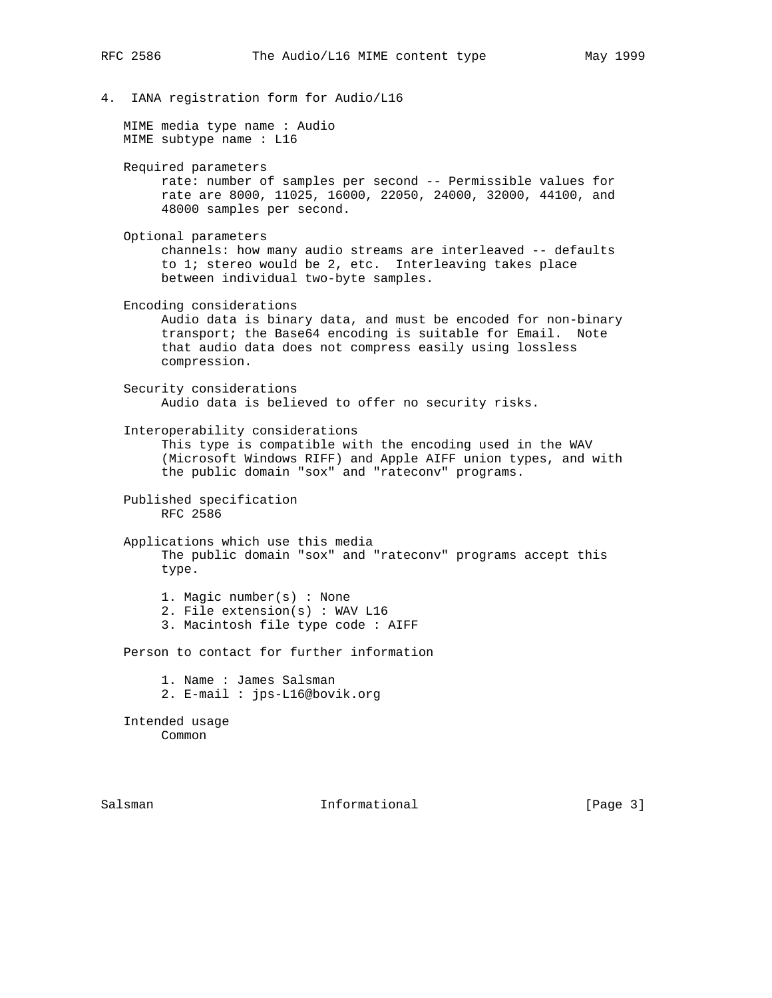- 
- 4. IANA registration form for Audio/L16

 MIME media type name : Audio MIME subtype name : L16

- Required parameters
	- rate: number of samples per second -- Permissible values for rate are 8000, 11025, 16000, 22050, 24000, 32000, 44100, and 48000 samples per second.
- Optional parameters

 channels: how many audio streams are interleaved -- defaults to 1; stereo would be 2, etc. Interleaving takes place between individual two-byte samples.

Encoding considerations

 Audio data is binary data, and must be encoded for non-binary transport; the Base64 encoding is suitable for Email. Note that audio data does not compress easily using lossless compression.

 Security considerations Audio data is believed to offer no security risks.

Interoperability considerations

 This type is compatible with the encoding used in the WAV (Microsoft Windows RIFF) and Apple AIFF union types, and with the public domain "sox" and "rateconv" programs.

 Published specification RFC 2586

- Applications which use this media The public domain "sox" and "rateconv" programs accept this type.
	- 1. Magic number(s) : None
	- 2. File extension(s) : WAV L16
	- 3. Macintosh file type code : AIFF

Person to contact for further information

1. Name : James Salsman

2. E-mail : jps-L16@bovik.org

 Intended usage Common

Salsman Informational [Page 3]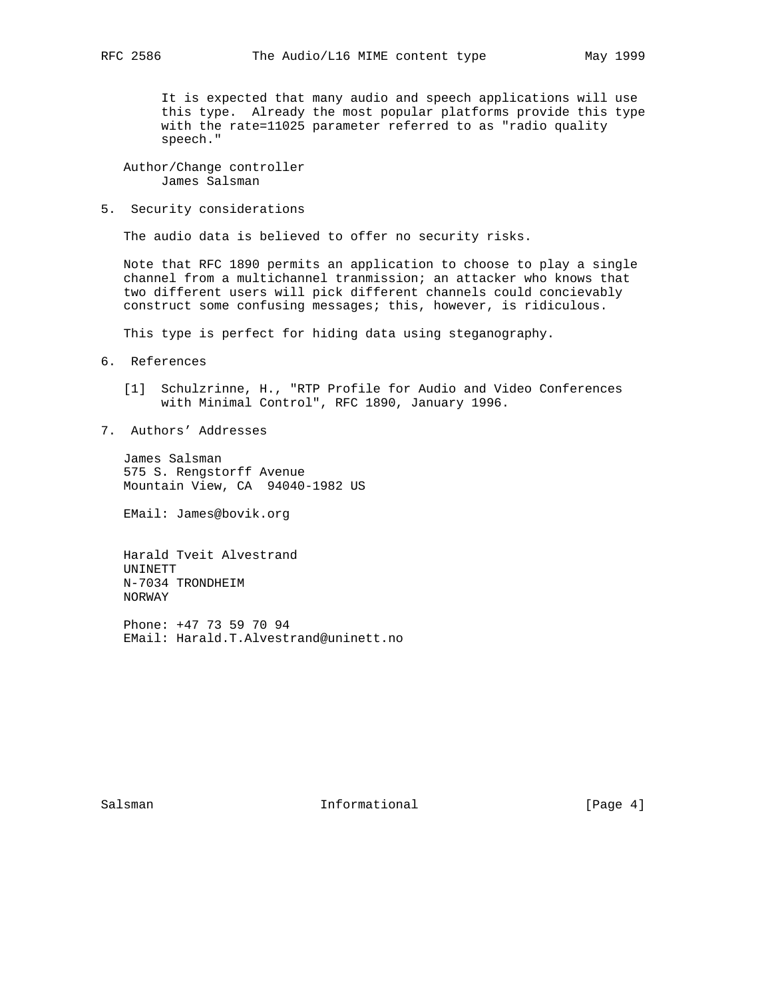It is expected that many audio and speech applications will use this type. Already the most popular platforms provide this type with the rate=11025 parameter referred to as "radio quality speech."

 Author/Change controller James Salsman

5. Security considerations

The audio data is believed to offer no security risks.

 Note that RFC 1890 permits an application to choose to play a single channel from a multichannel tranmission; an attacker who knows that two different users will pick different channels could concievably construct some confusing messages; this, however, is ridiculous.

This type is perfect for hiding data using steganography.

- 6. References
	- [1] Schulzrinne, H., "RTP Profile for Audio and Video Conferences with Minimal Control", RFC 1890, January 1996.
- 7. Authors' Addresses

 James Salsman 575 S. Rengstorff Avenue Mountain View, CA 94040-1982 US

EMail: James@bovik.org

 Harald Tveit Alvestrand UNINETT N-7034 TRONDHEIM NORWAY

 Phone: +47 73 59 70 94 EMail: Harald.T.Alvestrand@uninett.no

Salsman Informational [Page 4]